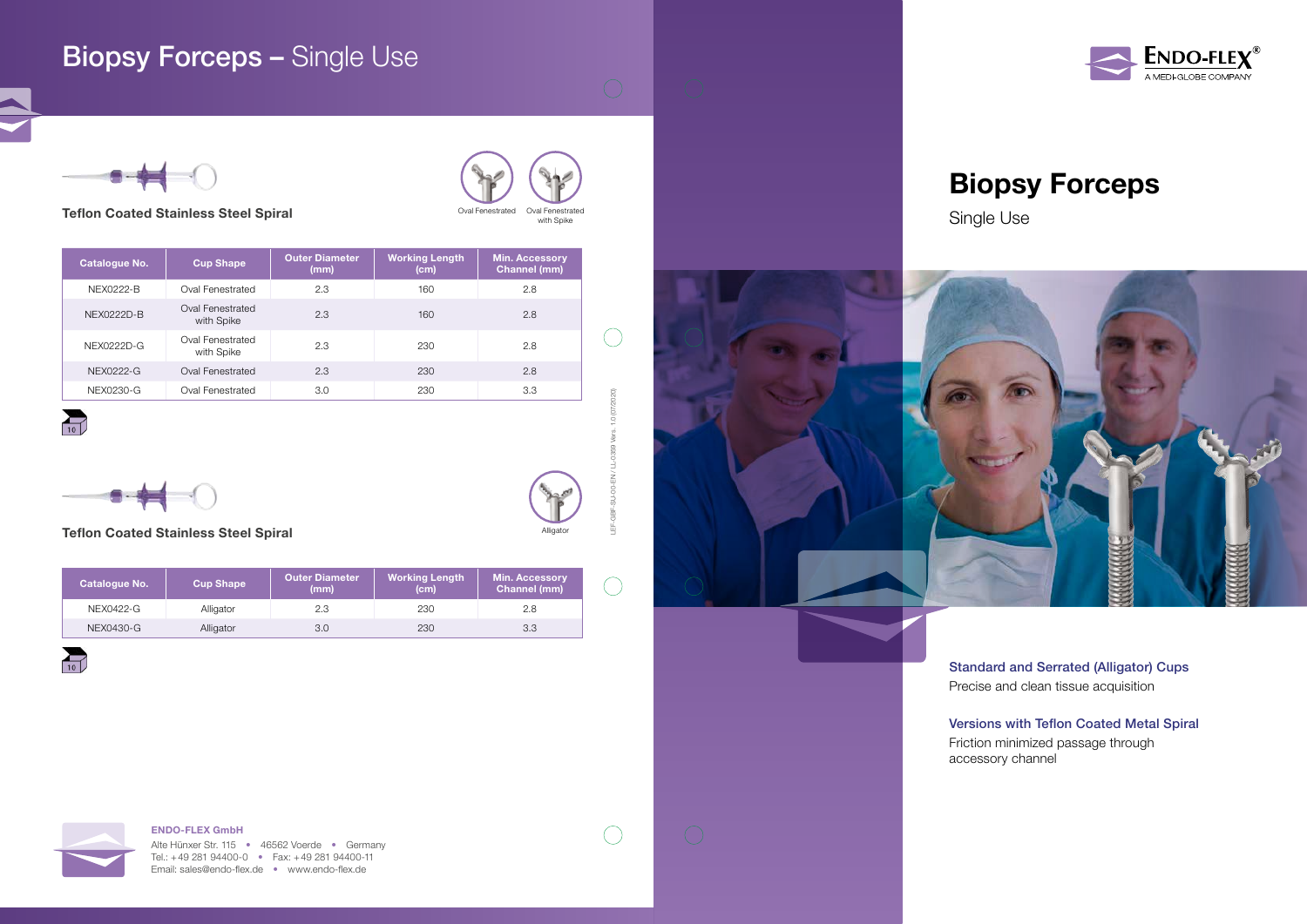## ENDO-FLEX GmbH





# Biopsy Forceps









Standard and Serrated (Alligator) Cups Precise and clean tissue acquisition

Versions with Teflon Coated Metal Spiral Friction minimized passage through

accessory channel

# **Biopsy Forceps - Single Use**

## Teflon Coated Stainless Steel Spiral

| <b>Catalogue No.</b> | <b>Cup Shape</b>               | <b>Outer Diameter</b><br>(mm) | <b>Working Length</b><br>(cm) | <b>Min. Accessory</b><br>Channel (mm) |  |
|----------------------|--------------------------------|-------------------------------|-------------------------------|---------------------------------------|--|
| <b>NEX0222-B</b>     | Oval Fenestrated               | 2.3                           | 160                           | 2.8                                   |  |
| NFX0222D-B           | Oval Fenestrated<br>with Spike | 2.3                           | 160                           | 2.8                                   |  |
| NEX0222D-G           | Oval Fenestrated<br>with Spike | 2.3                           | 230                           | 2.8                                   |  |
| NEX0222-G            | Oval Fenestrated               | 2.3                           | 230                           | 2.8                                   |  |
| NEX0230-G            | Oval Fenestrated               | 3.0                           | 230                           | 3.3                                   |  |

 $\overline{10}$ 



Oval Fenestrated Oval Fenestrated

with Spike

## Teflon Coated Stainless Steel Spiral

| <b>Catalogue No.</b> | <b>Cup Shape</b> | <b>Outer Diameter</b><br>(mm) | Working Length<br>(c <sub>m</sub> ) | <b>Min. Accessory</b><br>Channel (mm) |
|----------------------|------------------|-------------------------------|-------------------------------------|---------------------------------------|
| NEX0422-G            | Alligator        | 2.3                           | 230                                 | 2.8                                   |
| NEX0430-G            | Alligator        | 3.0                           | 230                                 | 3.3                                   |



Alligator



LEF-GBF-SU-00-EN / LL-0359 Vers. 1.0 (07/2020)

 $\bigcirc$